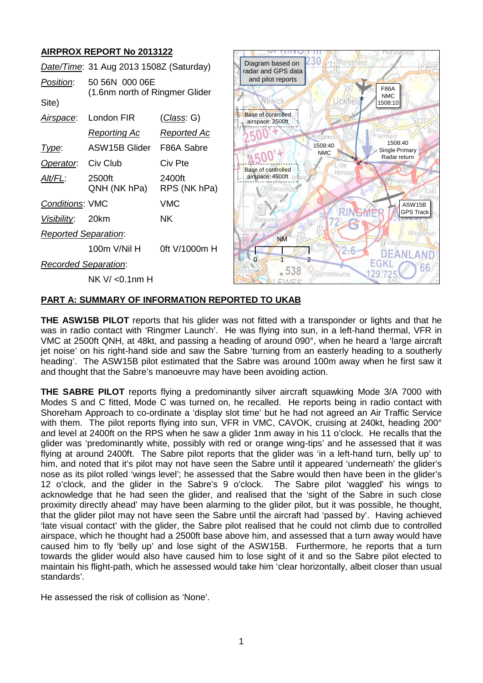# **AIRPROX REPORT No 2013122**

| Date/Time: 31 Aug 2013 1508Z (Saturday) |                                |                        | Diagram based on<br>radar and GPS data        | 230 H Maresfield      |                                             |
|-----------------------------------------|--------------------------------|------------------------|-----------------------------------------------|-----------------------|---------------------------------------------|
| Position:                               | 50 56N 000 06E                 |                        | and pilot reports                             |                       | <b>F86A</b>                                 |
| Site)                                   | (1.6nm north of Ringmer Glider |                        | PWIC                                          | ckfie                 | <b>NMC</b><br>1508:10                       |
| Airspace:                               | London FIR                     | <u>(Class</u> : G)     | <b>Base of controlled</b><br>airspace: 2500ft |                       |                                             |
|                                         | Reporting Ac                   | <b>Reported Ac</b>     |                                               | dgewoo                | Framfield                                   |
| Type:                                   | <b>ASW15B Glider</b>           | F86A Sabre             |                                               | 1508:40<br><b>NMC</b> | 1508:40<br><b>Single Primary</b>            |
| Operator.                               | Civ Club                       | Civ Pte                | <b>Base of controlled</b>                     | .ittle                | Radar return                                |
| Alt/FL:                                 | 2500ft<br>QNH (NK hPa)         | 2400ft<br>RPS (NK hPa) | airspace: 4500ft<br>Barcomi                   | Horsted               |                                             |
| Conditions: VMC                         |                                | <b>VMC</b>             |                                               |                       | ASW15B                                      |
| Visibility:                             | 20km                           | NK.                    | Barcombe                                      |                       | <b>GPS Track</b>                            |
| <b>Reported Separation:</b>             |                                |                        | <b>NM</b>                                     |                       | Whitesmith                                  |
|                                         | 100m V/Nil H                   | 0ft V/1000m H          |                                               | 2-6                   |                                             |
|                                         | <b>Recorded Separation:</b>    |                        | $-538$                                        |                       | $\vdash$ $\left( \frac{1}{2} \right)$<br>bt |
|                                         | $NK V / < 0.1$ nm H            |                        |                                               | Glyndebourne          |                                             |
|                                         |                                |                        |                                               |                       |                                             |

### **PART A: SUMMARY OF INFORMATION REPORTED TO UKAB**

**THE ASW15B PILOT** reports that his glider was not fitted with a transponder or lights and that he was in radio contact with 'Ringmer Launch'. He was flying into sun, in a left-hand thermal, VFR in VMC at 2500ft QNH, at 48kt, and passing a heading of around 090°, when he heard a 'large aircraft jet noise' on his right-hand side and saw the Sabre 'turning from an easterly heading to a southerly heading'. The ASW15B pilot estimated that the Sabre was around 100m away when he first saw it and thought that the Sabre's manoeuvre may have been avoiding action.

**THE SABRE PILOT** reports flying a predominantly silver aircraft squawking Mode 3/A 7000 with Modes S and C fitted, Mode C was turned on, he recalled. He reports being in radio contact with Shoreham Approach to co-ordinate a 'display slot time' but he had not agreed an Air Traffic Service with them. The pilot reports flying into sun, VFR in VMC, CAVOK, cruising at 240kt, heading 200° and level at 2400ft on the RPS when he saw a glider 1nm away in his 11 o'clock. He recalls that the glider was 'predominantly white, possibly with red or orange wing-tips' and he assessed that it was flying at around 2400ft. The Sabre pilot reports that the glider was 'in a left-hand turn, belly up' to him, and noted that it's pilot may not have seen the Sabre until it appeared 'underneath' the glider's nose as its pilot rolled 'wings level'; he assessed that the Sabre would then have been in the glider's 12 o'clock, and the glider in the Sabre's 9 o'clock. The Sabre pilot 'waggled' his wings to acknowledge that he had seen the glider, and realised that the 'sight of the Sabre in such close proximity directly ahead' may have been alarming to the glider pilot, but it was possible, he thought, that the glider pilot may not have seen the Sabre until the aircraft had 'passed by'. Having achieved 'late visual contact' with the glider, the Sabre pilot realised that he could not climb due to controlled airspace, which he thought had a 2500ft base above him, and assessed that a turn away would have caused him to fly 'belly up' and lose sight of the ASW15B. Furthermore, he reports that a turn towards the glider would also have caused him to lose sight of it and so the Sabre pilot elected to maintain his flight-path, which he assessed would take him 'clear horizontally, albeit closer than usual standards'.

He assessed the risk of collision as 'None'.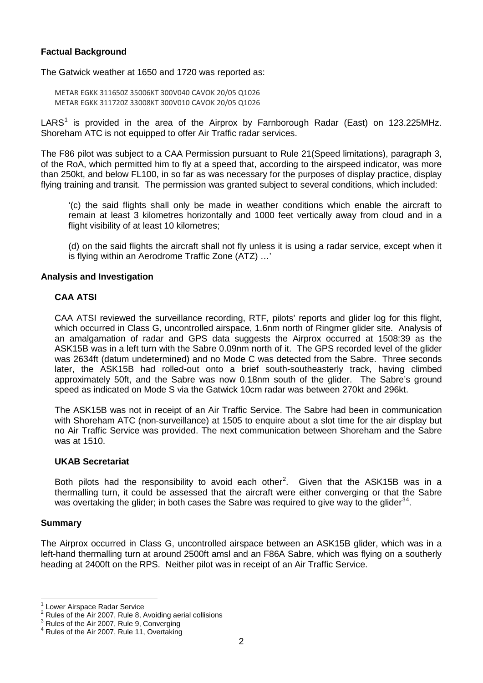## **Factual Background**

The Gatwick weather at 1650 and 1720 was reported as:

METAR EGKK 311650Z 35006KT 300V040 CAVOK 20/05 Q1026 METAR EGKK 311720Z 33008KT 300V010 CAVOK 20/05 Q1026

LARS<sup>[1](#page-1-0)</sup> is provided in the area of the Airprox by Farnborough Radar (East) on 123.225MHz. Shoreham ATC is not equipped to offer Air Traffic radar services.

The F86 pilot was subject to a CAA Permission pursuant to Rule 21(Speed limitations), paragraph 3, of the RoA, which permitted him to fly at a speed that, according to the airspeed indicator, was more than 250kt, and below FL100, in so far as was necessary for the purposes of display practice, display flying training and transit. The permission was granted subject to several conditions, which included:

'(c) the said flights shall only be made in weather conditions which enable the aircraft to remain at least 3 kilometres horizontally and 1000 feet vertically away from cloud and in a flight visibility of at least 10 kilometres;

(d) on the said flights the aircraft shall not fly unless it is using a radar service, except when it is flying within an Aerodrome Traffic Zone (ATZ) …'

### **Analysis and Investigation**

## **CAA ATSI**

CAA ATSI reviewed the surveillance recording, RTF, pilots' reports and glider log for this flight, which occurred in Class G, uncontrolled airspace, 1.6nm north of Ringmer glider site. Analysis of an amalgamation of radar and GPS data suggests the Airprox occurred at 1508:39 as the ASK15B was in a left turn with the Sabre 0.09nm north of it. The GPS recorded level of the glider was 2634ft (datum undetermined) and no Mode C was detected from the Sabre. Three seconds later, the ASK15B had rolled-out onto a brief south-southeasterly track, having climbed approximately 50ft, and the Sabre was now 0.18nm south of the glider. The Sabre's ground speed as indicated on Mode S via the Gatwick 10cm radar was between 270kt and 296kt.

The ASK15B was not in receipt of an Air Traffic Service. The Sabre had been in communication with Shoreham ATC (non-surveillance) at 1505 to enquire about a slot time for the air display but no Air Traffic Service was provided. The next communication between Shoreham and the Sabre was at 1510.

#### **UKAB Secretariat**

Both pilots had the responsibility to avoid each other<sup>[2](#page-1-1)</sup>. Given that the ASK15B was in a thermalling turn, it could be assessed that the aircraft were either converging or that the Sabre was overtaking the glider; in both cases the Sabre was required to give way to the glider<sup>[3](#page-1-2)[4](#page-1-3)</sup>.

#### **Summary**

The Airprox occurred in Class G, uncontrolled airspace between an ASK15B glider, which was in a left-hand thermalling turn at around 2500ft amsl and an F86A Sabre, which was flying on a southerly heading at 2400ft on the RPS. Neither pilot was in receipt of an Air Traffic Service.

<span id="page-1-2"></span>

<span id="page-1-1"></span><span id="page-1-0"></span><sup>1</sup> Lower Airspace Radar Service<br>
2 Rules of the Air 2007, Rule 8, Avoiding aerial collisions<br>
2007, Rule 9, Converging<br>
2 Rules of the Air 2007, Rule 11, Overtaking

<span id="page-1-3"></span>